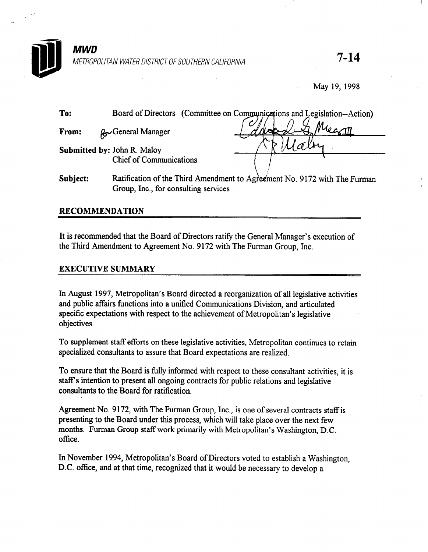

May 19, 1998

| To:      |                                                                      | Board of Directors (Committee on Communications and Legislation--Action)  |
|----------|----------------------------------------------------------------------|---------------------------------------------------------------------------|
| From:    | <b>R</b> General Manager                                             | Mearn                                                                     |
|          | <b>Submitted by: John R. Maloy</b><br><b>Chief of Communications</b> |                                                                           |
| Subject: |                                                                      | Ratification of the Third Amendment to Agreement No. 9172 with The Furman |

Group, Inc., for consulting services

## RECOMMENDATION

It is recommended that the Board of Directors ratify the General Manager's execution of the Third Amendment to Agreement No. 9172 with The Furman Group, Inc.

## EXECUTIVE SUMMARY

In August 1997, Metropolitan's Board directed a reorganization of all legislative activities and public affairs functions into a unified Communications Division, and articulated specific expectations with respect to the achievement of Metropolitan's legislative objectives.

To supplement staff efforts on these legislative activities, Metropolitan continues to retain specialized consultants to assure that Board expectations are realized.

To ensure that the Board is fully informed with respect to these consultant activities, it is staff's intention to present all ongoing contracts for public relations and legislative consultants to the Board for ratification,

Agreement No. 9172, with The Furman Group, Inc., is one of several contracts staff is presenting to the Board under this process, which will take place over the next few months. Furman Group staff work primarily with Metropolitan's Washington, D.C. office.

In November 1994, Metropolitan's Board of Directors voted to establish a Washington, D.C. office, and at that time, recognized that it would be necessary to develop a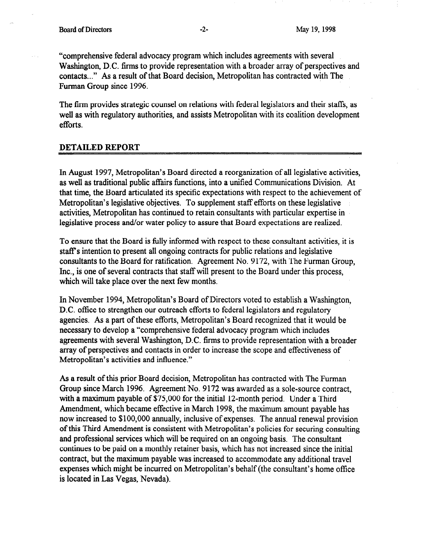"comprehensive federal advocacy program which includes agreements with several Washington, D.C. firms to provide representation with a broader array of perspectives and contacts.. ." As a result of that Board decision, Metropolitan has contracted with The Furman Group since 1996.

The firm provides strategic counsel on relations with federal legislators and their staffs, as well as with regulatory authorities, and assists Metropolitan with its coalition development efforts.

## DETAILED REPORT

In August 1997, Metropolitan's Board directed a reorganization of all legislative activities, as well as traditional public affairs functions, into a unified Communications Division. At that time, the Board articulated its specific expectations with respect to the achievement of Metropolitan's legislative objectives. To supplement staff efforts on these legislative activities, Metropolitan has continued to retain consultants with particular expertise in legislative process and/or water policy to assure that Board expectations are realized.

To ensure that the Board is fully informed with respect to these consultant activities, it is staff's intention to present all ongoing contracts for public relations and legislative consultants to the Board for ratification. Agreement No. 9172, with The Furman Group, Inc., is one of several contracts that staff will present to the Board under this process, which will take place over the next few months.

In November 1994, Metropolitan's Board of Directors voted to establish a Washington, D.C. office to strengthen our outreach efforts to federal legislators and regulatory agencies. As a part of these efforts, Metropolitan's Board recognized that it would be necessary to develop a "comprehensive federal advocacy program which includes agreements with several Washington, D.C. firms to provide representation with a broader array of perspectives and contacts in order to increase the scope and effectiveness of Metropolitan's activities and influence."

As a result of this prior Board decision, Metropolitan has contracted with The Furman Group since March 1996. Agreement No. 9172 was awarded as a sole-source contract, with a maximum payable.of \$75,000 for the initial 12-month period. Under a Third Amendment, which became effective in March 1998, the maximum amount payable has now increased to \$100,000 annually, inclusive of expenses. The annual renewal provision of this Third Amendment is consistent with Metropolitan's policies for securing consulting and professional services which will be required on an ongoing basis. The consultant continues to be paid on a monthly retainer basis, which has not increased since the initial contract, but the maximum payable was increased to accommodate any additional travel expenses which might be incurred on Metropolitan's behalf (the consultant's home oflice is located in Las Vegas, Nevada).